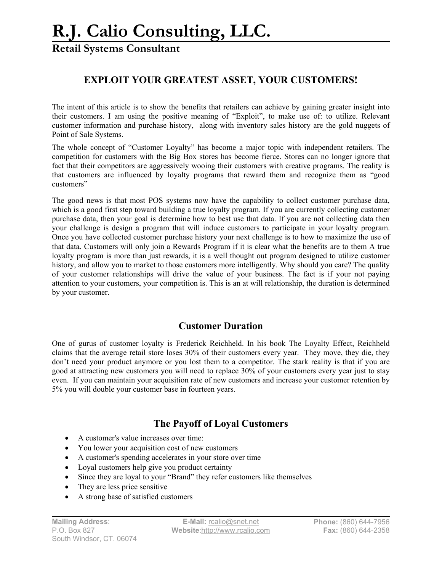## **R.J. Calio Consulting, LLC.**

**Retail Systems Consultant**

### **EXPLOIT YOUR GREATEST ASSET, YOUR CUSTOMERS!**

The intent of this article is to show the benefits that retailers can achieve by gaining greater insight into their customers. I am using the positive meaning of "Exploit", to make use of: to utilize. Relevant customer information and purchase history, along with inventory sales history are the gold nuggets of Point of Sale Systems.

The whole concept of "Customer Loyalty" has become a major topic with independent retailers. The competition for customers with the Big Box stores has become fierce. Stores can no longer ignore that fact that their competitors are aggressively wooing their customers with creative programs. The reality is that customers are influenced by loyalty programs that reward them and recognize them as "good customers"

The good news is that most POS systems now have the capability to collect customer purchase data, which is a good first step toward building a true loyalty program. If you are currently collecting customer purchase data, then your goal is determine how to best use that data. If you are not collecting data then your challenge is design a program that will induce customers to participate in your loyalty program. Once you have collected customer purchase history your next challenge is to how to maximize the use of that data. Customers will only join a Rewards Program if it is clear what the benefits are to them A true loyalty program is more than just rewards, it is a well thought out program designed to utilize customer history, and allow you to market to those customers more intelligently. Why should you care? The quality of your customer relationships will drive the value of your business. The fact is if your not paying attention to your customers, your competition is. This is an at will relationship, the duration is determined by your customer.

### **Customer Duration**

One of gurus of customer loyalty is Frederick Reichheld. In his book The Loyalty Effect, Reichheld claims that the average retail store loses 30% of their customers every year. They move, they die, they don't need your product anymore or you lost them to a competitor. The stark reality is that if you are good at attracting new customers you will need to replace 30% of your customers every year just to stay even. If you can maintain your acquisition rate of new customers and increase your customer retention by 5% you will double your customer base in fourteen years.

### **The Payoff of Loyal Customers**

- A customer's value increases over time:
- You lower your acquisition cost of new customers
- A customer's spending accelerates in your store over time
- Loyal customers help give you product certainty
- Since they are loyal to your "Brand" they refer customers like themselves
- They are less price sensitive
- A strong base of satisfied customers